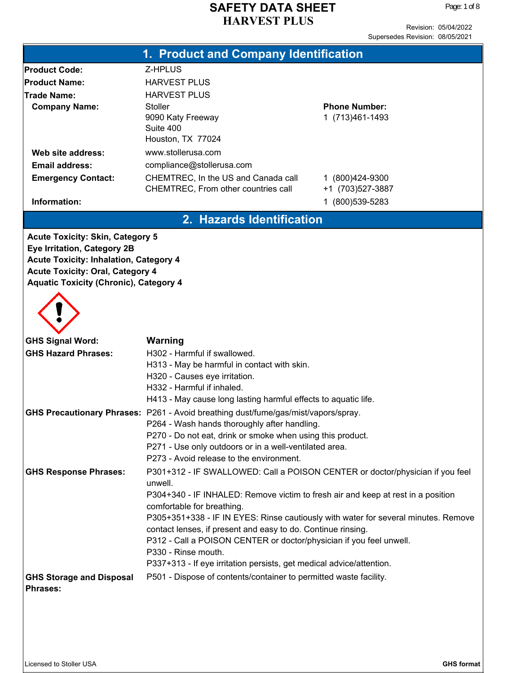|                                                                                          | 1. Product and Company Identification                                                                                               |                      |  |  |
|------------------------------------------------------------------------------------------|-------------------------------------------------------------------------------------------------------------------------------------|----------------------|--|--|
|                                                                                          |                                                                                                                                     |                      |  |  |
| <b>Product Code:</b>                                                                     | Z-HPLUS                                                                                                                             |                      |  |  |
| <b>Product Name:</b>                                                                     | <b>HARVEST PLUS</b><br><b>HARVEST PLUS</b>                                                                                          |                      |  |  |
| Trade Name:<br><b>Company Name:</b>                                                      | <b>Stoller</b>                                                                                                                      | <b>Phone Number:</b> |  |  |
|                                                                                          | 9090 Katy Freeway                                                                                                                   | 1 (713) 461-1493     |  |  |
|                                                                                          | Suite 400                                                                                                                           |                      |  |  |
|                                                                                          | Houston, TX 77024                                                                                                                   |                      |  |  |
| Web site address:                                                                        | www.stollerusa.com                                                                                                                  |                      |  |  |
| <b>Email address:</b>                                                                    | compliance@stollerusa.com                                                                                                           |                      |  |  |
| <b>Emergency Contact:</b>                                                                | CHEMTREC, In the US and Canada call                                                                                                 | 1 (800) 424-9300     |  |  |
|                                                                                          | CHEMTREC, From other countries call                                                                                                 | +1 (703)527-3887     |  |  |
| Information:                                                                             |                                                                                                                                     | 1 (800) 539-5283     |  |  |
|                                                                                          | 2. Hazards Identification                                                                                                           |                      |  |  |
| <b>Acute Toxicity: Skin, Category 5</b>                                                  |                                                                                                                                     |                      |  |  |
| Eye Irritation, Category 2B                                                              |                                                                                                                                     |                      |  |  |
| <b>Acute Toxicity: Inhalation, Category 4</b><br><b>Acute Toxicity: Oral, Category 4</b> |                                                                                                                                     |                      |  |  |
| <b>Aquatic Toxicity (Chronic), Category 4</b>                                            |                                                                                                                                     |                      |  |  |
|                                                                                          |                                                                                                                                     |                      |  |  |
|                                                                                          |                                                                                                                                     |                      |  |  |
|                                                                                          |                                                                                                                                     |                      |  |  |
|                                                                                          |                                                                                                                                     |                      |  |  |
| <b>GHS Signal Word:</b>                                                                  | Warning                                                                                                                             |                      |  |  |
| <b>GHS Hazard Phrases:</b>                                                               | H302 - Harmful if swallowed.<br>H313 - May be harmful in contact with skin.                                                         |                      |  |  |
|                                                                                          | H320 - Causes eye irritation.                                                                                                       |                      |  |  |
|                                                                                          | H332 - Harmful if inhaled.                                                                                                          |                      |  |  |
|                                                                                          | H413 - May cause long lasting harmful effects to aquatic life.                                                                      |                      |  |  |
|                                                                                          | GHS Precautionary Phrases: P261 - Avoid breathing dust/fume/gas/mist/vapors/spray.                                                  |                      |  |  |
|                                                                                          | P264 - Wash hands thoroughly after handling.                                                                                        |                      |  |  |
|                                                                                          | P270 - Do not eat, drink or smoke when using this product.                                                                          |                      |  |  |
|                                                                                          | P271 - Use only outdoors or in a well-ventilated area.<br>P273 - Avoid release to the environment.                                  |                      |  |  |
| <b>GHS Response Phrases:</b>                                                             | P301+312 - IF SWALLOWED: Call a POISON CENTER or doctor/physician if you feel                                                       |                      |  |  |
|                                                                                          | unwell.                                                                                                                             |                      |  |  |
|                                                                                          | P304+340 - IF INHALED: Remove victim to fresh air and keep at rest in a position                                                    |                      |  |  |
|                                                                                          | comfortable for breathing.                                                                                                          |                      |  |  |
|                                                                                          | P305+351+338 - IF IN EYES: Rinse cautiously with water for several minutes. Remove                                                  |                      |  |  |
|                                                                                          | contact lenses, if present and easy to do. Continue rinsing.<br>P312 - Call a POISON CENTER or doctor/physician if you feel unwell. |                      |  |  |
|                                                                                          | P330 - Rinse mouth.                                                                                                                 |                      |  |  |
|                                                                                          | P337+313 - If eye irritation persists, get medical advice/attention.                                                                |                      |  |  |
| <b>GHS Storage and Disposal</b>                                                          | P501 - Dispose of contents/container to permitted waste facility.                                                                   |                      |  |  |
| <b>Phrases:</b>                                                                          |                                                                                                                                     |                      |  |  |
|                                                                                          |                                                                                                                                     |                      |  |  |
|                                                                                          |                                                                                                                                     |                      |  |  |
|                                                                                          |                                                                                                                                     |                      |  |  |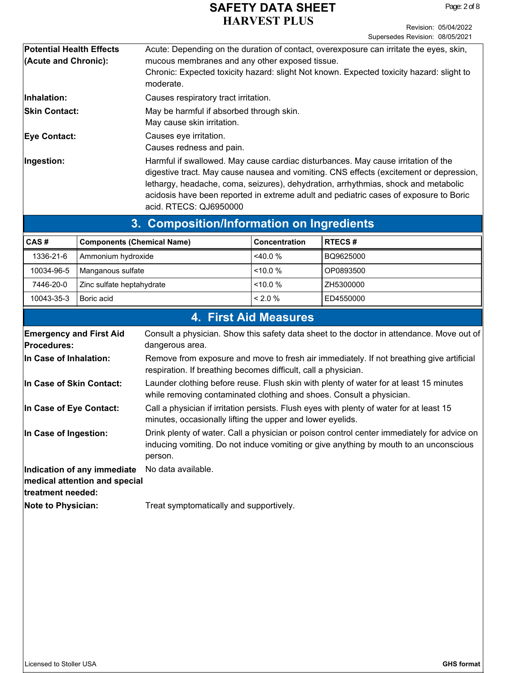|                                                                                   |                                   |                                                                                                                                                                                                                                                                                                                                                                                      |                                      | Revision: 05/04/2022<br>Supersedes Revision: 08/05/2021 |  |  |
|-----------------------------------------------------------------------------------|-----------------------------------|--------------------------------------------------------------------------------------------------------------------------------------------------------------------------------------------------------------------------------------------------------------------------------------------------------------------------------------------------------------------------------------|--------------------------------------|---------------------------------------------------------|--|--|
| <b>Potential Health Effects</b><br>(Acute and Chronic):                           |                                   | Acute: Depending on the duration of contact, overexposure can irritate the eyes, skin,<br>mucous membranes and any other exposed tissue.<br>Chronic: Expected toxicity hazard: slight Not known. Expected toxicity hazard: slight to<br>moderate.                                                                                                                                    |                                      |                                                         |  |  |
| Inhalation:                                                                       |                                   |                                                                                                                                                                                                                                                                                                                                                                                      | Causes respiratory tract irritation. |                                                         |  |  |
| <b>Skin Contact:</b>                                                              |                                   | May be harmful if absorbed through skin.<br>May cause skin irritation.                                                                                                                                                                                                                                                                                                               |                                      |                                                         |  |  |
| <b>Eye Contact:</b>                                                               |                                   | Causes eye irritation.<br>Causes redness and pain.                                                                                                                                                                                                                                                                                                                                   |                                      |                                                         |  |  |
| Ingestion:                                                                        |                                   | Harmful if swallowed. May cause cardiac disturbances. May cause irritation of the<br>digestive tract. May cause nausea and vomiting. CNS effects (excitement or depression,<br>lethargy, headache, coma, seizures), dehydration, arrhythmias, shock and metabolic<br>acidosis have been reported in extreme adult and pediatric cases of exposure to Boric<br>acid. RTECS: QJ6950000 |                                      |                                                         |  |  |
|                                                                                   |                                   | 3. Composition/Information on Ingredients                                                                                                                                                                                                                                                                                                                                            |                                      |                                                         |  |  |
| CAS#                                                                              | <b>Components (Chemical Name)</b> |                                                                                                                                                                                                                                                                                                                                                                                      | Concentration                        | <b>RTECS#</b>                                           |  |  |
| 1336-21-6                                                                         | Ammonium hydroxide                |                                                                                                                                                                                                                                                                                                                                                                                      | $<$ 40.0 %                           | BQ9625000                                               |  |  |
| 10034-96-5                                                                        | Manganous sulfate                 |                                                                                                                                                                                                                                                                                                                                                                                      | $<10.0\%$                            | OP0893500                                               |  |  |
| 7446-20-0                                                                         | Zinc sulfate heptahydrate         |                                                                                                                                                                                                                                                                                                                                                                                      | $<10.0\%$                            | ZH5300000                                               |  |  |
| 10043-35-3                                                                        | Boric acid                        |                                                                                                                                                                                                                                                                                                                                                                                      | < 2.0 %                              | ED4550000                                               |  |  |
|                                                                                   |                                   |                                                                                                                                                                                                                                                                                                                                                                                      | 4. First Aid Measures                |                                                         |  |  |
| <b>Emergency and First Aid</b><br>Procedures:                                     |                                   | Consult a physician. Show this safety data sheet to the doctor in attendance. Move out of<br>dangerous area.                                                                                                                                                                                                                                                                         |                                      |                                                         |  |  |
| In Case of Inhalation:                                                            |                                   | Remove from exposure and move to fresh air immediately. If not breathing give artificial<br>respiration. If breathing becomes difficult, call a physician.                                                                                                                                                                                                                           |                                      |                                                         |  |  |
| In Case of Skin Contact:                                                          |                                   | Launder clothing before reuse. Flush skin with plenty of water for at least 15 minutes<br>while removing contaminated clothing and shoes. Consult a physician.                                                                                                                                                                                                                       |                                      |                                                         |  |  |
| ∣In Case of Eye Contact:                                                          |                                   | Call a physician if irritation persists. Flush eyes with plenty of water for at least 15<br>minutes, occasionally lifting the upper and lower eyelids.                                                                                                                                                                                                                               |                                      |                                                         |  |  |
| In Case of Ingestion:                                                             |                                   | Drink plenty of water. Call a physician or poison control center immediately for advice on<br>inducing vomiting. Do not induce vomiting or give anything by mouth to an unconscious<br>person.                                                                                                                                                                                       |                                      |                                                         |  |  |
| Indication of any immediate<br>medical attention and special<br>treatment needed: |                                   | No data available.                                                                                                                                                                                                                                                                                                                                                                   |                                      |                                                         |  |  |
| <b>Note to Physician:</b>                                                         |                                   | Treat symptomatically and supportively.                                                                                                                                                                                                                                                                                                                                              |                                      |                                                         |  |  |
|                                                                                   |                                   |                                                                                                                                                                                                                                                                                                                                                                                      |                                      |                                                         |  |  |
|                                                                                   |                                   |                                                                                                                                                                                                                                                                                                                                                                                      |                                      |                                                         |  |  |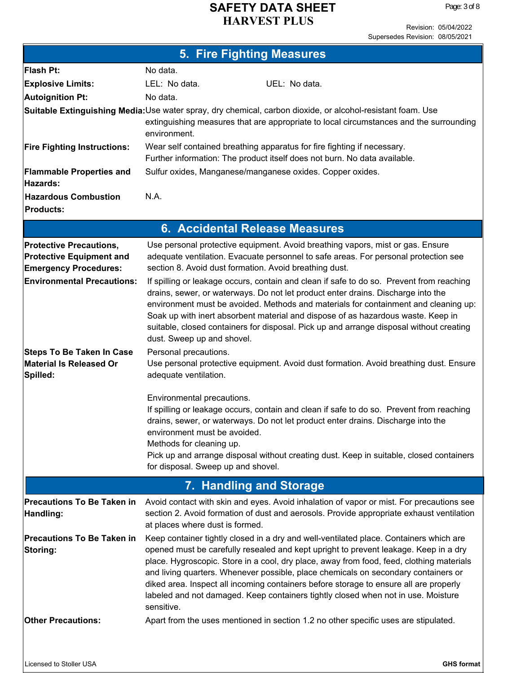| <b>5. Fire Fighting Measures</b>                                                                  |                                                                                                                                                                                                                                                                                                                                                                                                                                                                                                                                                              |  |  |  |  |
|---------------------------------------------------------------------------------------------------|--------------------------------------------------------------------------------------------------------------------------------------------------------------------------------------------------------------------------------------------------------------------------------------------------------------------------------------------------------------------------------------------------------------------------------------------------------------------------------------------------------------------------------------------------------------|--|--|--|--|
| <b>Flash Pt:</b>                                                                                  | No data.                                                                                                                                                                                                                                                                                                                                                                                                                                                                                                                                                     |  |  |  |  |
| <b>Explosive Limits:</b>                                                                          | LEL: No data.<br>UEL: No data.                                                                                                                                                                                                                                                                                                                                                                                                                                                                                                                               |  |  |  |  |
| <b>Autoignition Pt:</b>                                                                           | No data.                                                                                                                                                                                                                                                                                                                                                                                                                                                                                                                                                     |  |  |  |  |
|                                                                                                   | Suitable Extinguishing Media:Use water spray, dry chemical, carbon dioxide, or alcohol-resistant foam. Use<br>extinguishing measures that are appropriate to local circumstances and the surrounding<br>environment.                                                                                                                                                                                                                                                                                                                                         |  |  |  |  |
| <b>Fire Fighting Instructions:</b>                                                                | Wear self contained breathing apparatus for fire fighting if necessary.<br>Further information: The product itself does not burn. No data available.                                                                                                                                                                                                                                                                                                                                                                                                         |  |  |  |  |
| <b>Flammable Properties and</b><br>Hazards:                                                       | Sulfur oxides, Manganese/manganese oxides. Copper oxides.                                                                                                                                                                                                                                                                                                                                                                                                                                                                                                    |  |  |  |  |
| <b>Hazardous Combustion</b>                                                                       | N.A.                                                                                                                                                                                                                                                                                                                                                                                                                                                                                                                                                         |  |  |  |  |
| <b>Products:</b>                                                                                  |                                                                                                                                                                                                                                                                                                                                                                                                                                                                                                                                                              |  |  |  |  |
|                                                                                                   | <b>6. Accidental Release Measures</b>                                                                                                                                                                                                                                                                                                                                                                                                                                                                                                                        |  |  |  |  |
| <b>Protective Precautions,</b><br><b>Protective Equipment and</b><br><b>Emergency Procedures:</b> | Use personal protective equipment. Avoid breathing vapors, mist or gas. Ensure<br>adequate ventilation. Evacuate personnel to safe areas. For personal protection see<br>section 8. Avoid dust formation. Avoid breathing dust.                                                                                                                                                                                                                                                                                                                              |  |  |  |  |
| <b>Environmental Precautions:</b>                                                                 | If spilling or leakage occurs, contain and clean if safe to do so. Prevent from reaching<br>drains, sewer, or waterways. Do not let product enter drains. Discharge into the<br>environment must be avoided. Methods and materials for containment and cleaning up:<br>Soak up with inert absorbent material and dispose of as hazardous waste. Keep in<br>suitable, closed containers for disposal. Pick up and arrange disposal without creating<br>dust. Sweep up and shovel.                                                                             |  |  |  |  |
| <b>Steps To Be Taken In Case</b><br>Material Is Released Or<br>Spilled:                           | Personal precautions.<br>Use personal protective equipment. Avoid dust formation. Avoid breathing dust. Ensure<br>adequate ventilation.                                                                                                                                                                                                                                                                                                                                                                                                                      |  |  |  |  |
|                                                                                                   | Environmental precautions.<br>If spilling or leakage occurs, contain and clean if safe to do so. Prevent from reaching<br>drains, sewer, or waterways. Do not let product enter drains. Discharge into the<br>environment must be avoided.<br>Methods for cleaning up.<br>Pick up and arrange disposal without creating dust. Keep in suitable, closed containers<br>for disposal. Sweep up and shovel.                                                                                                                                                      |  |  |  |  |
|                                                                                                   | 7. Handling and Storage                                                                                                                                                                                                                                                                                                                                                                                                                                                                                                                                      |  |  |  |  |
| <b>Precautions To Be Taken in</b><br>Handling:                                                    | Avoid contact with skin and eyes. Avoid inhalation of vapor or mist. For precautions see<br>section 2. Avoid formation of dust and aerosols. Provide appropriate exhaust ventilation<br>at places where dust is formed.                                                                                                                                                                                                                                                                                                                                      |  |  |  |  |
| <b>Precautions To Be Taken in</b><br>Storing:                                                     | Keep container tightly closed in a dry and well-ventilated place. Containers which are<br>opened must be carefully resealed and kept upright to prevent leakage. Keep in a dry<br>place. Hygroscopic. Store in a cool, dry place, away from food, feed, clothing materials<br>and living quarters. Whenever possible, place chemicals on secondary containers or<br>diked area. Inspect all incoming containers before storage to ensure all are properly<br>labeled and not damaged. Keep containers tightly closed when not in use. Moisture<br>sensitive. |  |  |  |  |
| <b>Other Precautions:</b>                                                                         | Apart from the uses mentioned in section 1.2 no other specific uses are stipulated.                                                                                                                                                                                                                                                                                                                                                                                                                                                                          |  |  |  |  |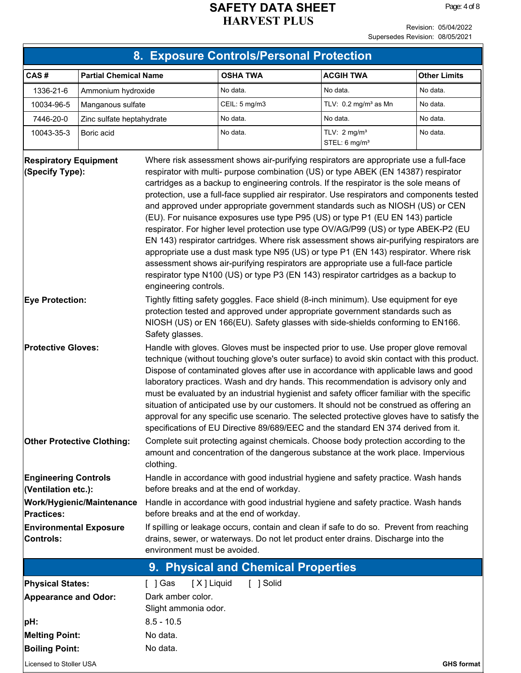| 8. Exposure Controls/Personal Protection                                                                                                                                                                                                                                                             |                              |                                                                                                                                                                                                                                                                                                                                                                                                                                                                                                                                                                                                                                                                                                                                                                                                                                                                                                                                                                                                                         |                                                                                                                                                                                                                                                                                                                                                                                                                                                                                                                                                                                                                                                                                                                                                |                                                      |                     |  |
|------------------------------------------------------------------------------------------------------------------------------------------------------------------------------------------------------------------------------------------------------------------------------------------------------|------------------------------|-------------------------------------------------------------------------------------------------------------------------------------------------------------------------------------------------------------------------------------------------------------------------------------------------------------------------------------------------------------------------------------------------------------------------------------------------------------------------------------------------------------------------------------------------------------------------------------------------------------------------------------------------------------------------------------------------------------------------------------------------------------------------------------------------------------------------------------------------------------------------------------------------------------------------------------------------------------------------------------------------------------------------|------------------------------------------------------------------------------------------------------------------------------------------------------------------------------------------------------------------------------------------------------------------------------------------------------------------------------------------------------------------------------------------------------------------------------------------------------------------------------------------------------------------------------------------------------------------------------------------------------------------------------------------------------------------------------------------------------------------------------------------------|------------------------------------------------------|---------------------|--|
| CAS#                                                                                                                                                                                                                                                                                                 | <b>Partial Chemical Name</b> |                                                                                                                                                                                                                                                                                                                                                                                                                                                                                                                                                                                                                                                                                                                                                                                                                                                                                                                                                                                                                         | <b>OSHA TWA</b>                                                                                                                                                                                                                                                                                                                                                                                                                                                                                                                                                                                                                                                                                                                                | <b>ACGIH TWA</b>                                     | <b>Other Limits</b> |  |
| 1336-21-6                                                                                                                                                                                                                                                                                            | Ammonium hydroxide           |                                                                                                                                                                                                                                                                                                                                                                                                                                                                                                                                                                                                                                                                                                                                                                                                                                                                                                                                                                                                                         | No data.                                                                                                                                                                                                                                                                                                                                                                                                                                                                                                                                                                                                                                                                                                                                       | No data.                                             | No data.            |  |
| 10034-96-5                                                                                                                                                                                                                                                                                           | Manganous sulfate            |                                                                                                                                                                                                                                                                                                                                                                                                                                                                                                                                                                                                                                                                                                                                                                                                                                                                                                                                                                                                                         | CEIL: 5 mg/m3                                                                                                                                                                                                                                                                                                                                                                                                                                                                                                                                                                                                                                                                                                                                  | TLV: $0.2 \text{ mg/m}^3$ as Mn                      | No data.            |  |
| 7446-20-0                                                                                                                                                                                                                                                                                            | Zinc sulfate heptahydrate    |                                                                                                                                                                                                                                                                                                                                                                                                                                                                                                                                                                                                                                                                                                                                                                                                                                                                                                                                                                                                                         | No data.                                                                                                                                                                                                                                                                                                                                                                                                                                                                                                                                                                                                                                                                                                                                       | No data.                                             | No data.            |  |
| 10043-35-3                                                                                                                                                                                                                                                                                           | Boric acid                   |                                                                                                                                                                                                                                                                                                                                                                                                                                                                                                                                                                                                                                                                                                                                                                                                                                                                                                                                                                                                                         | No data.                                                                                                                                                                                                                                                                                                                                                                                                                                                                                                                                                                                                                                                                                                                                       | TLV: $2 \text{ mg/m}^3$<br>STEL: 6 mg/m <sup>3</sup> | No data.            |  |
| <b>Respiratory Equipment</b><br>(Specify Type):                                                                                                                                                                                                                                                      |                              | Where risk assessment shows air-purifying respirators are appropriate use a full-face<br>respirator with multi- purpose combination (US) or type ABEK (EN 14387) respirator<br>cartridges as a backup to engineering controls. If the respirator is the sole means of<br>protection, use a full-face supplied air respirator. Use respirators and components tested<br>and approved under appropriate government standards such as NIOSH (US) or CEN<br>(EU). For nuisance exposures use type P95 (US) or type P1 (EU EN 143) particle<br>respirator. For higher level protection use type OV/AG/P99 (US) or type ABEK-P2 (EU<br>EN 143) respirator cartridges. Where risk assessment shows air-purifying respirators are<br>appropriate use a dust mask type N95 (US) or type P1 (EN 143) respirator. Where risk<br>assessment shows air-purifying respirators are appropriate use a full-face particle<br>respirator type N100 (US) or type P3 (EN 143) respirator cartridges as a backup to<br>engineering controls. |                                                                                                                                                                                                                                                                                                                                                                                                                                                                                                                                                                                                                                                                                                                                                |                                                      |                     |  |
| Tightly fitting safety goggles. Face shield (8-inch minimum). Use equipment for eye<br><b>Eye Protection:</b><br>protection tested and approved under appropriate government standards such as<br>NIOSH (US) or EN 166(EU). Safety glasses with side-shields conforming to EN166.<br>Safety glasses. |                              |                                                                                                                                                                                                                                                                                                                                                                                                                                                                                                                                                                                                                                                                                                                                                                                                                                                                                                                                                                                                                         |                                                                                                                                                                                                                                                                                                                                                                                                                                                                                                                                                                                                                                                                                                                                                |                                                      |                     |  |
| <b>Protective Gloves:</b>                                                                                                                                                                                                                                                                            |                              |                                                                                                                                                                                                                                                                                                                                                                                                                                                                                                                                                                                                                                                                                                                                                                                                                                                                                                                                                                                                                         | Handle with gloves. Gloves must be inspected prior to use. Use proper glove removal<br>technique (without touching glove's outer surface) to avoid skin contact with this product.<br>Dispose of contaminated gloves after use in accordance with applicable laws and good<br>laboratory practices. Wash and dry hands. This recommendation is advisory only and<br>must be evaluated by an industrial hygienist and safety officer familiar with the specific<br>situation of anticipated use by our customers. It should not be construed as offering an<br>approval for any specific use scenario. The selected protective gloves have to satisfy the<br>specifications of EU Directive 89/689/EEC and the standard EN 374 derived from it. |                                                      |                     |  |
| Complete suit protecting against chemicals. Choose body protection according to the<br><b>Other Protective Clothing:</b><br>amount and concentration of the dangerous substance at the work place. Impervious<br>clothing.                                                                           |                              |                                                                                                                                                                                                                                                                                                                                                                                                                                                                                                                                                                                                                                                                                                                                                                                                                                                                                                                                                                                                                         |                                                                                                                                                                                                                                                                                                                                                                                                                                                                                                                                                                                                                                                                                                                                                |                                                      |                     |  |
| <b>Engineering Controls</b><br>(Ventilation etc.):                                                                                                                                                                                                                                                   |                              | Handle in accordance with good industrial hygiene and safety practice. Wash hands<br>before breaks and at the end of workday.                                                                                                                                                                                                                                                                                                                                                                                                                                                                                                                                                                                                                                                                                                                                                                                                                                                                                           |                                                                                                                                                                                                                                                                                                                                                                                                                                                                                                                                                                                                                                                                                                                                                |                                                      |                     |  |
| <b>Practices:</b>                                                                                                                                                                                                                                                                                    | Work/Hygienic/Maintenance    | Handle in accordance with good industrial hygiene and safety practice. Wash hands<br>before breaks and at the end of workday.                                                                                                                                                                                                                                                                                                                                                                                                                                                                                                                                                                                                                                                                                                                                                                                                                                                                                           |                                                                                                                                                                                                                                                                                                                                                                                                                                                                                                                                                                                                                                                                                                                                                |                                                      |                     |  |
| <b>Environmental Exposure</b><br><b>Controls:</b>                                                                                                                                                                                                                                                    |                              | If spilling or leakage occurs, contain and clean if safe to do so. Prevent from reaching<br>drains, sewer, or waterways. Do not let product enter drains. Discharge into the<br>environment must be avoided.                                                                                                                                                                                                                                                                                                                                                                                                                                                                                                                                                                                                                                                                                                                                                                                                            |                                                                                                                                                                                                                                                                                                                                                                                                                                                                                                                                                                                                                                                                                                                                                |                                                      |                     |  |
|                                                                                                                                                                                                                                                                                                      |                              |                                                                                                                                                                                                                                                                                                                                                                                                                                                                                                                                                                                                                                                                                                                                                                                                                                                                                                                                                                                                                         | 9. Physical and Chemical Properties                                                                                                                                                                                                                                                                                                                                                                                                                                                                                                                                                                                                                                                                                                            |                                                      |                     |  |
| <b>Physical States:</b>                                                                                                                                                                                                                                                                              |                              | [X] Liquid<br>[ ] Gas                                                                                                                                                                                                                                                                                                                                                                                                                                                                                                                                                                                                                                                                                                                                                                                                                                                                                                                                                                                                   | [ ] Solid                                                                                                                                                                                                                                                                                                                                                                                                                                                                                                                                                                                                                                                                                                                                      |                                                      |                     |  |
| <b>Appearance and Odor:</b>                                                                                                                                                                                                                                                                          |                              | Dark amber color.<br>Slight ammonia odor.                                                                                                                                                                                                                                                                                                                                                                                                                                                                                                                                                                                                                                                                                                                                                                                                                                                                                                                                                                               |                                                                                                                                                                                                                                                                                                                                                                                                                                                                                                                                                                                                                                                                                                                                                |                                                      |                     |  |
| pH:                                                                                                                                                                                                                                                                                                  |                              | $8.5 - 10.5$                                                                                                                                                                                                                                                                                                                                                                                                                                                                                                                                                                                                                                                                                                                                                                                                                                                                                                                                                                                                            |                                                                                                                                                                                                                                                                                                                                                                                                                                                                                                                                                                                                                                                                                                                                                |                                                      |                     |  |
| No data.<br><b>Melting Point:</b>                                                                                                                                                                                                                                                                    |                              |                                                                                                                                                                                                                                                                                                                                                                                                                                                                                                                                                                                                                                                                                                                                                                                                                                                                                                                                                                                                                         |                                                                                                                                                                                                                                                                                                                                                                                                                                                                                                                                                                                                                                                                                                                                                |                                                      |                     |  |
| <b>Boiling Point:</b>                                                                                                                                                                                                                                                                                |                              | No data.                                                                                                                                                                                                                                                                                                                                                                                                                                                                                                                                                                                                                                                                                                                                                                                                                                                                                                                                                                                                                |                                                                                                                                                                                                                                                                                                                                                                                                                                                                                                                                                                                                                                                                                                                                                |                                                      |                     |  |
| Licensed to Stoller USA                                                                                                                                                                                                                                                                              |                              |                                                                                                                                                                                                                                                                                                                                                                                                                                                                                                                                                                                                                                                                                                                                                                                                                                                                                                                                                                                                                         |                                                                                                                                                                                                                                                                                                                                                                                                                                                                                                                                                                                                                                                                                                                                                |                                                      | <b>GHS format</b>   |  |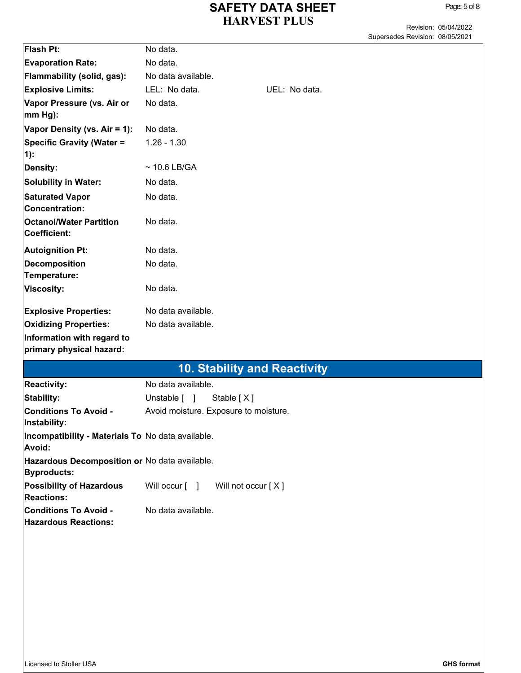| Flash Pt:                                                           | No data.                              |               |  |
|---------------------------------------------------------------------|---------------------------------------|---------------|--|
| <b>Evaporation Rate:</b>                                            | No data.                              |               |  |
| Flammability (solid, gas):                                          | No data available.                    |               |  |
| <b>Explosive Limits:</b>                                            | LEL: No data.                         | UEL: No data. |  |
| Vapor Pressure (vs. Air or                                          | No data.                              |               |  |
| mm Hg):                                                             |                                       |               |  |
| Vapor Density (vs. Air = 1):                                        | No data.                              |               |  |
| <b>Specific Gravity (Water =</b>                                    | $1.26 - 1.30$                         |               |  |
| $1)$ :                                                              |                                       |               |  |
| <b>Density:</b>                                                     | $\sim$ 10.6 LB/GA                     |               |  |
| <b>Solubility in Water:</b>                                         | No data.                              |               |  |
| <b>Saturated Vapor</b>                                              | No data.                              |               |  |
| <b>Concentration:</b>                                               |                                       |               |  |
| <b>Octanol/Water Partition</b>                                      | No data.                              |               |  |
| <b>Coefficient:</b>                                                 |                                       |               |  |
| <b>Autoignition Pt:</b>                                             | No data.                              |               |  |
| <b>Decomposition</b>                                                | No data.                              |               |  |
| Temperature:                                                        |                                       |               |  |
| <b>Viscosity:</b>                                                   | No data.                              |               |  |
| <b>Explosive Properties:</b>                                        | No data available.                    |               |  |
| <b>Oxidizing Properties:</b>                                        | No data available.                    |               |  |
| Information with regard to                                          |                                       |               |  |
|                                                                     |                                       |               |  |
| primary physical hazard:                                            |                                       |               |  |
|                                                                     |                                       |               |  |
|                                                                     | <b>10. Stability and Reactivity</b>   |               |  |
| <b>Reactivity:</b>                                                  | No data available.                    |               |  |
| <b>Stability:</b>                                                   | Unstable [ ]<br>Stable [X]            |               |  |
| <b>Conditions To Avoid -</b>                                        | Avoid moisture. Exposure to moisture. |               |  |
| Instability:                                                        |                                       |               |  |
| Incompatibility - Materials To No data available.                   |                                       |               |  |
| Avoid:                                                              |                                       |               |  |
| Hazardous Decomposition or No data available.<br><b>Byproducts:</b> |                                       |               |  |
| <b>Possibility of Hazardous</b>                                     | Will occur [ ]<br>Will not occur [X]  |               |  |
| <b>Reactions:</b>                                                   |                                       |               |  |
| <b>Conditions To Avoid -</b>                                        | No data available.                    |               |  |
| <b>Hazardous Reactions:</b>                                         |                                       |               |  |
|                                                                     |                                       |               |  |
|                                                                     |                                       |               |  |
|                                                                     |                                       |               |  |
|                                                                     |                                       |               |  |
|                                                                     |                                       |               |  |
|                                                                     |                                       |               |  |
|                                                                     |                                       |               |  |
|                                                                     |                                       |               |  |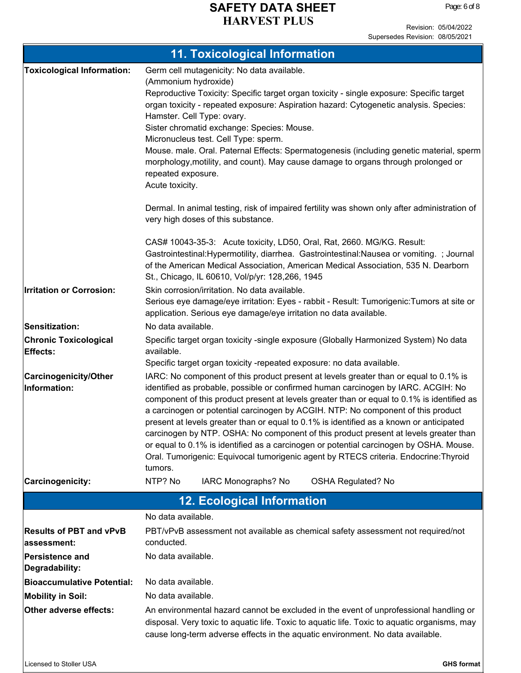|                                                 | <b>11. Toxicological Information</b>                                                                                                                                                                                                                                                                                                                                                                                                                                                                                                                                                                                                                                                                                                         |  |  |  |
|-------------------------------------------------|----------------------------------------------------------------------------------------------------------------------------------------------------------------------------------------------------------------------------------------------------------------------------------------------------------------------------------------------------------------------------------------------------------------------------------------------------------------------------------------------------------------------------------------------------------------------------------------------------------------------------------------------------------------------------------------------------------------------------------------------|--|--|--|
| <b>Toxicological Information:</b>               | Germ cell mutagenicity: No data available.<br>(Ammonium hydroxide)<br>Reproductive Toxicity: Specific target organ toxicity - single exposure: Specific target<br>organ toxicity - repeated exposure: Aspiration hazard: Cytogenetic analysis. Species:<br>Hamster. Cell Type: ovary.<br>Sister chromatid exchange: Species: Mouse.<br>Micronucleus test. Cell Type: sperm.<br>Mouse. male. Oral. Paternal Effects: Spermatogenesis (including genetic material, sperm<br>morphology, motility, and count). May cause damage to organs through prolonged or<br>repeated exposure.<br>Acute toxicity.                                                                                                                                         |  |  |  |
|                                                 | Dermal. In animal testing, risk of impaired fertility was shown only after administration of<br>very high doses of this substance.                                                                                                                                                                                                                                                                                                                                                                                                                                                                                                                                                                                                           |  |  |  |
|                                                 | CAS# 10043-35-3: Acute toxicity, LD50, Oral, Rat, 2660. MG/KG. Result:<br>Gastrointestinal: Hypermotility, diarrhea. Gastrointestinal: Nausea or vomiting. ; Journal<br>of the American Medical Association, American Medical Association, 535 N. Dearborn<br>St., Chicago, IL 60610, Vol/p/yr: 128,266, 1945                                                                                                                                                                                                                                                                                                                                                                                                                                |  |  |  |
| <b>Irritation or Corrosion:</b>                 | Skin corrosion/irritation. No data available.<br>Serious eye damage/eye irritation: Eyes - rabbit - Result: Tumorigenic: Tumors at site or<br>application. Serious eye damage/eye irritation no data available.                                                                                                                                                                                                                                                                                                                                                                                                                                                                                                                              |  |  |  |
| Sensitization:                                  | No data available.                                                                                                                                                                                                                                                                                                                                                                                                                                                                                                                                                                                                                                                                                                                           |  |  |  |
| <b>Chronic Toxicological</b><br><b>Effects:</b> | Specific target organ toxicity -single exposure (Globally Harmonized System) No data<br>available.<br>Specific target organ toxicity -repeated exposure: no data available.                                                                                                                                                                                                                                                                                                                                                                                                                                                                                                                                                                  |  |  |  |
| <b>Carcinogenicity/Other</b><br>Information:    | IARC: No component of this product present at levels greater than or equal to 0.1% is<br>identified as probable, possible or confirmed human carcinogen by IARC. ACGIH: No<br>component of this product present at levels greater than or equal to 0.1% is identified as<br>a carcinogen or potential carcinogen by ACGIH. NTP: No component of this product<br>present at levels greater than or equal to 0.1% is identified as a known or anticipated<br>carcinogen by NTP. OSHA: No component of this product present at levels greater than<br>or equal to 0.1% is identified as a carcinogen or potential carcinogen by OSHA. Mouse.<br>Oral. Tumorigenic: Equivocal tumorigenic agent by RTECS criteria. Endocrine: Thyroid<br>tumors. |  |  |  |
| Carcinogenicity:                                | NTP? No<br>IARC Monographs? No<br>OSHA Regulated? No                                                                                                                                                                                                                                                                                                                                                                                                                                                                                                                                                                                                                                                                                         |  |  |  |
|                                                 | <b>12. Ecological Information</b>                                                                                                                                                                                                                                                                                                                                                                                                                                                                                                                                                                                                                                                                                                            |  |  |  |
|                                                 | No data available.                                                                                                                                                                                                                                                                                                                                                                                                                                                                                                                                                                                                                                                                                                                           |  |  |  |
| <b>Results of PBT and vPvB</b><br>assessment:   | PBT/vPvB assessment not available as chemical safety assessment not required/not<br>conducted.                                                                                                                                                                                                                                                                                                                                                                                                                                                                                                                                                                                                                                               |  |  |  |
| <b>Persistence and</b><br>Degradability:        | No data available.                                                                                                                                                                                                                                                                                                                                                                                                                                                                                                                                                                                                                                                                                                                           |  |  |  |
| <b>Bioaccumulative Potential:</b>               | No data available.                                                                                                                                                                                                                                                                                                                                                                                                                                                                                                                                                                                                                                                                                                                           |  |  |  |
| <b>Mobility in Soil:</b>                        | No data available.                                                                                                                                                                                                                                                                                                                                                                                                                                                                                                                                                                                                                                                                                                                           |  |  |  |
| Other adverse effects:                          | An environmental hazard cannot be excluded in the event of unprofessional handling or<br>disposal. Very toxic to aquatic life. Toxic to aquatic life. Toxic to aquatic organisms, may<br>cause long-term adverse effects in the aquatic environment. No data available.                                                                                                                                                                                                                                                                                                                                                                                                                                                                      |  |  |  |
| Licensed to Stoller USA                         | <b>GHS format</b>                                                                                                                                                                                                                                                                                                                                                                                                                                                                                                                                                                                                                                                                                                                            |  |  |  |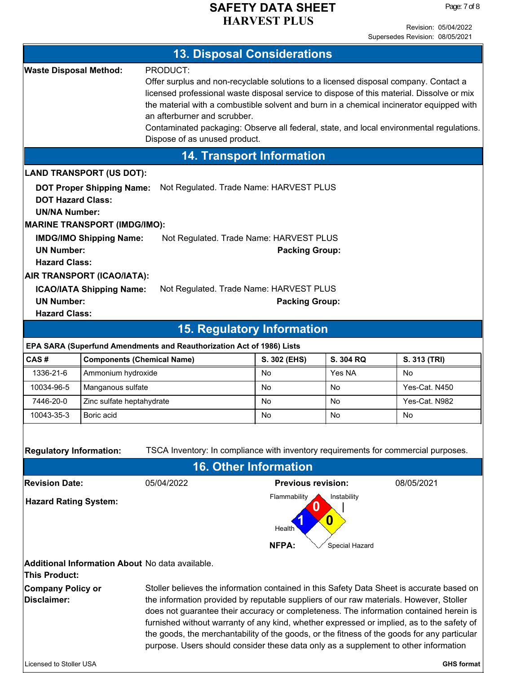Page: 7 of 8

| <b>13. Disposal Considerations</b>                                                                                                                                                                                                                                                                                                                                                                                                                                                                                                                                                                          |                                                                                                                                                                        |                                                                       |                                   |           |               |  |
|-------------------------------------------------------------------------------------------------------------------------------------------------------------------------------------------------------------------------------------------------------------------------------------------------------------------------------------------------------------------------------------------------------------------------------------------------------------------------------------------------------------------------------------------------------------------------------------------------------------|------------------------------------------------------------------------------------------------------------------------------------------------------------------------|-----------------------------------------------------------------------|-----------------------------------|-----------|---------------|--|
| <b>Waste Disposal Method:</b><br>PRODUCT:<br>Offer surplus and non-recyclable solutions to a licensed disposal company. Contact a<br>licensed professional waste disposal service to dispose of this material. Dissolve or mix<br>the material with a combustible solvent and burn in a chemical incinerator equipped with<br>an afterburner and scrubber.<br>Contaminated packaging: Observe all federal, state, and local environmental regulations.<br>Dispose of as unused product.                                                                                                                     |                                                                                                                                                                        |                                                                       |                                   |           |               |  |
|                                                                                                                                                                                                                                                                                                                                                                                                                                                                                                                                                                                                             |                                                                                                                                                                        |                                                                       | <b>14. Transport Information</b>  |           |               |  |
|                                                                                                                                                                                                                                                                                                                                                                                                                                                                                                                                                                                                             | <b>LAND TRANSPORT (US DOT):</b>                                                                                                                                        |                                                                       |                                   |           |               |  |
|                                                                                                                                                                                                                                                                                                                                                                                                                                                                                                                                                                                                             | <b>DOT Proper Shipping Name:</b><br>Not Regulated. Trade Name: HARVEST PLUS<br><b>DOT Hazard Class:</b><br><b>UN/NA Number:</b><br><b>MARINE TRANSPORT (IMDG/IMO):</b> |                                                                       |                                   |           |               |  |
|                                                                                                                                                                                                                                                                                                                                                                                                                                                                                                                                                                                                             | <b>IMDG/IMO Shipping Name:</b><br>Not Regulated. Trade Name: HARVEST PLUS<br><b>UN Number:</b><br><b>Packing Group:</b><br><b>Hazard Class:</b>                        |                                                                       |                                   |           |               |  |
| AIR TRANSPORT (ICAO/IATA):<br><b>ICAO/IATA Shipping Name:</b><br>Not Regulated. Trade Name: HARVEST PLUS<br><b>UN Number:</b><br><b>Packing Group:</b><br><b>Hazard Class:</b>                                                                                                                                                                                                                                                                                                                                                                                                                              |                                                                                                                                                                        |                                                                       |                                   |           |               |  |
|                                                                                                                                                                                                                                                                                                                                                                                                                                                                                                                                                                                                             |                                                                                                                                                                        |                                                                       | <b>15. Regulatory Information</b> |           |               |  |
|                                                                                                                                                                                                                                                                                                                                                                                                                                                                                                                                                                                                             |                                                                                                                                                                        | EPA SARA (Superfund Amendments and Reauthorization Act of 1986) Lists |                                   |           |               |  |
| CAS#                                                                                                                                                                                                                                                                                                                                                                                                                                                                                                                                                                                                        | <b>Components (Chemical Name)</b>                                                                                                                                      |                                                                       | S. 302 (EHS)                      | S. 304 RQ | S. 313 (TRI)  |  |
| 1336-21-6                                                                                                                                                                                                                                                                                                                                                                                                                                                                                                                                                                                                   | Ammonium hydroxide                                                                                                                                                     |                                                                       | No                                | Yes NA    | No            |  |
| 10034-96-5                                                                                                                                                                                                                                                                                                                                                                                                                                                                                                                                                                                                  | Manganous sulfate                                                                                                                                                      |                                                                       | No                                | No        | Yes-Cat. N450 |  |
| 7446-20-0                                                                                                                                                                                                                                                                                                                                                                                                                                                                                                                                                                                                   | Zinc sulfate heptahydrate                                                                                                                                              |                                                                       | No                                | <b>No</b> | Yes-Cat. N982 |  |
| 10043-35-3                                                                                                                                                                                                                                                                                                                                                                                                                                                                                                                                                                                                  | Boric acid                                                                                                                                                             |                                                                       | No                                | No        | No            |  |
| TSCA Inventory: In compliance with inventory requirements for commercial purposes.<br><b>Regulatory Information:</b>                                                                                                                                                                                                                                                                                                                                                                                                                                                                                        |                                                                                                                                                                        |                                                                       |                                   |           |               |  |
|                                                                                                                                                                                                                                                                                                                                                                                                                                                                                                                                                                                                             |                                                                                                                                                                        |                                                                       | <b>16. Other Information</b>      |           | 08/05/2021    |  |
| <b>Revision Date:</b><br>05/04/2022<br><b>Previous revision:</b><br>Flammability<br>Instability<br><b>Hazard Rating System:</b><br>0<br>Health                                                                                                                                                                                                                                                                                                                                                                                                                                                              |                                                                                                                                                                        |                                                                       |                                   |           |               |  |
| NFPA:<br>Special Hazard<br><b>Additional Information About No data available.</b><br><b>This Product:</b>                                                                                                                                                                                                                                                                                                                                                                                                                                                                                                   |                                                                                                                                                                        |                                                                       |                                   |           |               |  |
| <b>Company Policy or</b><br>Stoller believes the information contained in this Safety Data Sheet is accurate based on<br>Disclaimer:<br>the information provided by reputable suppliers of our raw materials. However, Stoller<br>does not guarantee their accuracy or completeness. The information contained herein is<br>furnished without warranty of any kind, whether expressed or implied, as to the safety of<br>the goods, the merchantability of the goods, or the fitness of the goods for any particular<br>purpose. Users should consider these data only as a supplement to other information |                                                                                                                                                                        |                                                                       |                                   |           |               |  |